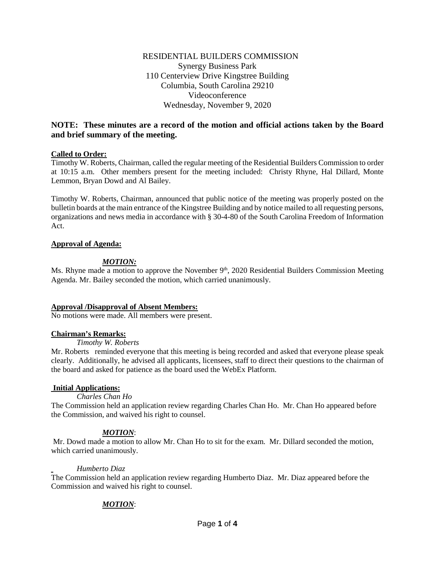# **NOTE: These minutes are a record of the motion and official actions taken by the Board and brief summary of the meeting.**

### **Called to Order:**

Timothy W. Roberts, Chairman, called the regular meeting of the Residential Builders Commission to order at 10:15 a.m. Other members present for the meeting included: Christy Rhyne, Hal Dillard, Monte Lemmon, Bryan Dowd and Al Bailey.

Timothy W. Roberts, Chairman, announced that public notice of the meeting was properly posted on the bulletin boards at the main entrance of the Kingstree Building and by notice mailed to all requesting persons, organizations and news media in accordance with § 30-4-80 of the South Carolina Freedom of Information Act.

### **Approval of Agenda:**

# *MOTION:*

Ms. Rhyne made a motion to approve the November  $9<sup>th</sup>$ , 2020 Residential Builders Commission Meeting Agenda. Mr. Bailey seconded the motion, which carried unanimously.

## **Approval /Disapproval of Absent Members:**

No motions were made. All members were present.

#### **Chairman's Remarks:**

# *Timothy W. Roberts*

Mr. Roberts reminded everyone that this meeting is being recorded and asked that everyone please speak clearly. Additionally, he advised all applicants, licensees, staff to direct their questions to the chairman of the board and asked for patience as the board used the WebEx Platform.

## **Initial Applications:**

#### *Charles Chan Ho*

The Commission held an application review regarding Charles Chan Ho. Mr. Chan Ho appeared before the Commission, and waived his right to counsel.

## *MOTION*:

Mr. Dowd made a motion to allow Mr. Chan Ho to sit for the exam. Mr. Dillard seconded the motion, which carried unanimously.

#### *Humberto Diaz*

The Commission held an application review regarding Humberto Diaz. Mr. Diaz appeared before the Commission and waived his right to counsel.

## *MOTION*: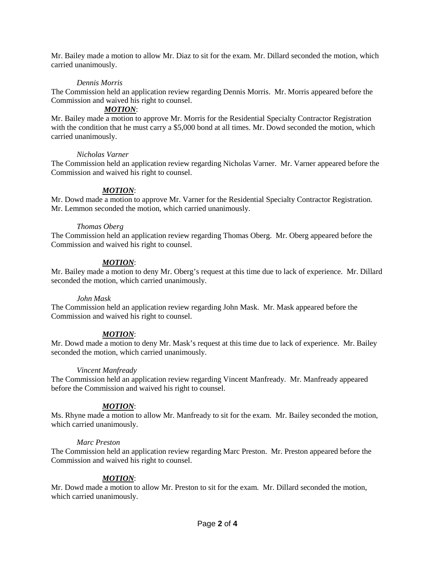Mr. Bailey made a motion to allow Mr. Diaz to sit for the exam. Mr. Dillard seconded the motion, which carried unanimously.

### *Dennis Morris*

The Commission held an application review regarding Dennis Morris. Mr. Morris appeared before the Commission and waived his right to counsel.

### *MOTION*:

Mr. Bailey made a motion to approve Mr. Morris for the Residential Specialty Contractor Registration with the condition that he must carry a \$5,000 bond at all times. Mr. Dowd seconded the motion, which carried unanimously.

#### *Nicholas Varner*

The Commission held an application review regarding Nicholas Varner. Mr. Varner appeared before the Commission and waived his right to counsel.

## *MOTION*:

Mr. Dowd made a motion to approve Mr. Varner for the Residential Specialty Contractor Registration. Mr. Lemmon seconded the motion, which carried unanimously.

#### *Thomas Oberg*

The Commission held an application review regarding Thomas Oberg. Mr. Oberg appeared before the Commission and waived his right to counsel.

## *MOTION*:

Mr. Bailey made a motion to deny Mr. Oberg's request at this time due to lack of experience. Mr. Dillard seconded the motion, which carried unanimously.

#### *John Mask*

The Commission held an application review regarding John Mask. Mr. Mask appeared before the Commission and waived his right to counsel.

## *MOTION*:

Mr. Dowd made a motion to deny Mr. Mask's request at this time due to lack of experience. Mr. Bailey seconded the motion, which carried unanimously.

#### *Vincent Manfready*

The Commission held an application review regarding Vincent Manfready. Mr. Manfready appeared before the Commission and waived his right to counsel.

## *MOTION*:

Ms. Rhyne made a motion to allow Mr. Manfready to sit for the exam. Mr. Bailey seconded the motion, which carried unanimously.

#### *Marc Preston*

The Commission held an application review regarding Marc Preston. Mr. Preston appeared before the Commission and waived his right to counsel.

## *MOTION*:

Mr. Dowd made a motion to allow Mr. Preston to sit for the exam. Mr. Dillard seconded the motion, which carried unanimously.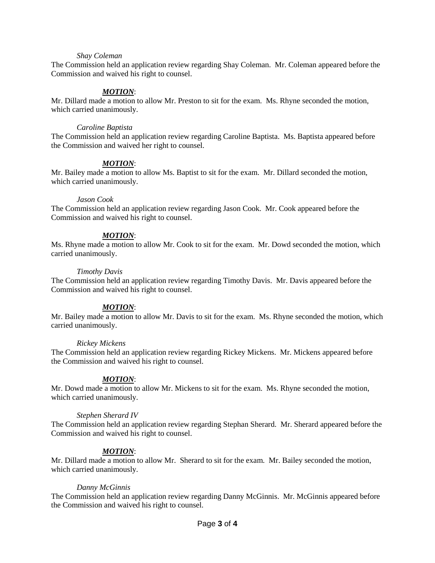#### *Shay Coleman*

The Commission held an application review regarding Shay Coleman. Mr. Coleman appeared before the Commission and waived his right to counsel.

### *MOTION*:

Mr. Dillard made a motion to allow Mr. Preston to sit for the exam. Ms. Rhyne seconded the motion, which carried unanimously.

#### *Caroline Baptista*

The Commission held an application review regarding Caroline Baptista. Ms. Baptista appeared before the Commission and waived her right to counsel.

#### *MOTION*:

Mr. Bailey made a motion to allow Ms. Baptist to sit for the exam. Mr. Dillard seconded the motion, which carried unanimously.

#### *Jason Cook*

The Commission held an application review regarding Jason Cook. Mr. Cook appeared before the Commission and waived his right to counsel.

#### *MOTION*:

Ms. Rhyne made a motion to allow Mr. Cook to sit for the exam. Mr. Dowd seconded the motion, which carried unanimously.

#### *Timothy Davis*

The Commission held an application review regarding Timothy Davis. Mr. Davis appeared before the Commission and waived his right to counsel.

#### *MOTION*:

Mr. Bailey made a motion to allow Mr. Davis to sit for the exam. Ms. Rhyne seconded the motion, which carried unanimously.

#### *Rickey Mickens*

The Commission held an application review regarding Rickey Mickens. Mr. Mickens appeared before the Commission and waived his right to counsel.

#### *MOTION*:

Mr. Dowd made a motion to allow Mr. Mickens to sit for the exam. Ms. Rhyne seconded the motion, which carried unanimously.

#### *Stephen Sherard IV*

The Commission held an application review regarding Stephan Sherard. Mr. Sherard appeared before the Commission and waived his right to counsel.

#### *MOTION*:

Mr. Dillard made a motion to allow Mr. Sherard to sit for the exam. Mr. Bailey seconded the motion, which carried unanimously.

#### *Danny McGinnis*

The Commission held an application review regarding Danny McGinnis. Mr. McGinnis appeared before the Commission and waived his right to counsel.